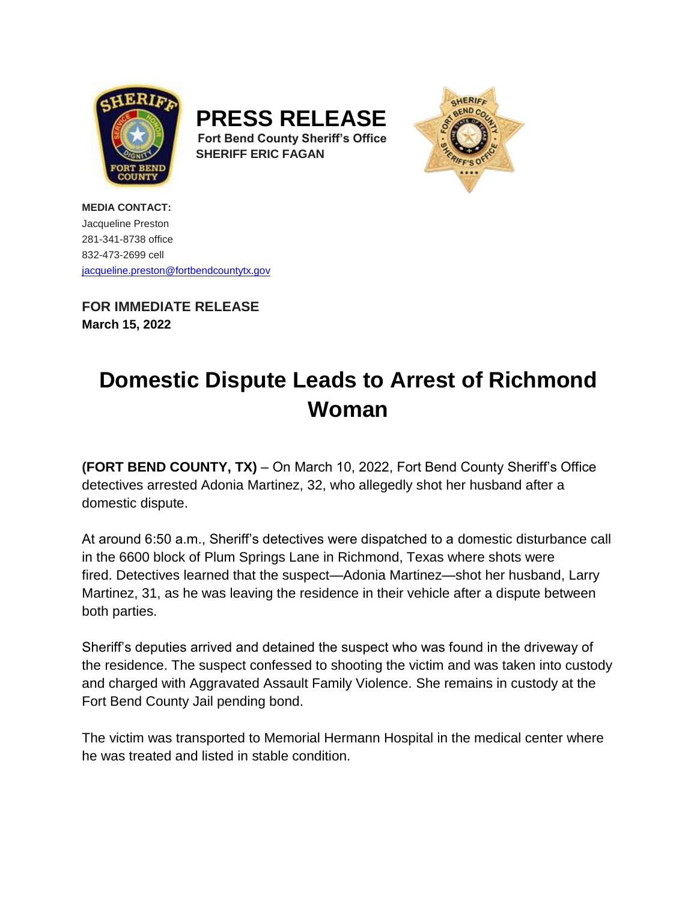





**MEDIA CONTACT:** Jacqueline Preston 281-341-8738 office 832-473-2699 cell [jacqueline.preston@fortbendcountytx.gov](mailto:jacqueline.preston@fortbendcountytx.gov) 

**FOR IMMEDIATE RELEASE March 15, 2022**

## **Domestic Dispute Leads to Arrest of Richmond Woman**

**(FORT BEND COUNTY, TX)** – On March 10, 2022, Fort Bend County Sheriff's Office detectives arrested Adonia Martinez, 32, who allegedly shot her husband after a domestic dispute.

At around 6:50 a.m., Sheriff's detectives were dispatched to a domestic disturbance call in the 6600 block of Plum Springs Lane in Richmond, Texas where shots were fired. Detectives learned that the suspect—Adonia Martinez—shot her husband, Larry Martinez, 31, as he was leaving the residence in their vehicle after a dispute between both parties.

Sheriff's deputies arrived and detained the suspect who was found in the driveway of the residence. The suspect confessed to shooting the victim and was taken into custody and charged with Aggravated Assault Family Violence. She remains in custody at the Fort Bend County Jail pending bond.

The victim was transported to Memorial Hermann Hospital in the medical center where he was treated and listed in stable condition.